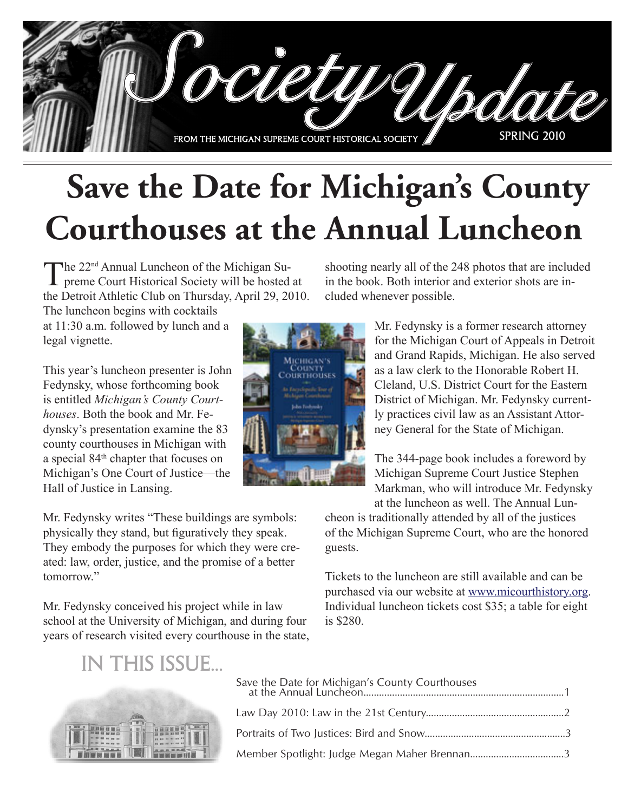

# **Save the Date for Michigan's County Courthouses at the Annual Luncheon**

The 22<sup>nd</sup> Annual Luncheon of the Michigan Su- $\perp$  preme Court Historical Society will be hosted at the Detroit Athletic Club on Thursday, April 29, 2010.

The luncheon begins with cocktails at 11:30 a.m. followed by lunch and a legal vignette.

This year's luncheon presenter is John Fedynsky, whose forthcoming book is entitled *Michigan's County Courthouses*. Both the book and Mr. Fedynsky's presentation examine the 83 county courthouses in Michigan with a special 84th chapter that focuses on Michigan's One Court of Justice—the Hall of Justice in Lansing.

Mr. Fedynsky writes "These buildings are symbols: physically they stand, but figuratively they speak. They embody the purposes for which they were created: law, order, justice, and the promise of a better tomorrow."

Mr. Fedynsky conceived his project while in law school at the University of Michigan, and during four years of research visited every courthouse in the state,



Mr. Fedynsky is a former research attorney for the Michigan Court of Appeals in Detroit and Grand Rapids, Michigan. He also served as a law clerk to the Honorable Robert H. Cleland, U.S. District Court for the Eastern District of Michigan. Mr. Fedynsky currently practices civil law as an Assistant Attorney General for the State of Michigan.

The 344-page book includes a foreword by Michigan Supreme Court Justice Stephen Markman, who will introduce Mr. Fedynsky at the luncheon as well. The Annual Lun-

cheon is traditionally attended by all of the justices of the Michigan Supreme Court, who are the honored guests.

Tickets to the luncheon are still available and can be purchased via our website at www.micourthistory.org. Individual luncheon tickets cost \$35; a table for eight is \$280.

## in this issue...



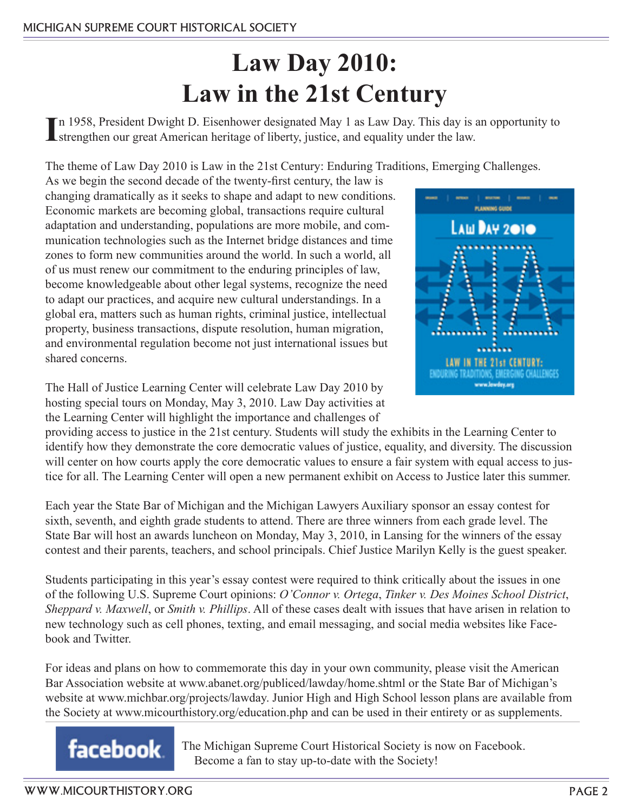## **Law Day 2010: Law in the 21st Century**

In 1958, President Dwight D. Eisenhower designated May 1 as Law Day. This day is a strengthen our great American heritage of liberty, justice, and equality under the law. n 1958, President Dwight D. Eisenhower designated May 1 as Law Day. This day is an opportunity to

The theme of Law Day 2010 is Law in the 21st Century: Enduring Traditions, Emerging Challenges.

As we begin the second decade of the twenty-first century, the law is changing dramatically as it seeks to shape and adapt to new conditions. Economic markets are becoming global, transactions require cultural adaptation and understanding, populations are more mobile, and communication technologies such as the Internet bridge distances and time zones to form new communities around the world. In such a world, all of us must renew our commitment to the enduring principles of law, become knowledgeable about other legal systems, recognize the need to adapt our practices, and acquire new cultural understandings. In a global era, matters such as human rights, criminal justice, intellectual property, business transactions, dispute resolution, human migration, and environmental regulation become not just international issues but shared concerns.

The Hall of Justice Learning Center will celebrate Law Day 2010 by hosting special tours on Monday, May 3, 2010. Law Day activities at the Learning Center will highlight the importance and challenges of



providing access to justice in the 21st century. Students will study the exhibits in the Learning Center to identify how they demonstrate the core democratic values of justice, equality, and diversity. The discussion will center on how courts apply the core democratic values to ensure a fair system with equal access to justice for all. The Learning Center will open a new permanent exhibit on Access to Justice later this summer.

Each year the State Bar of Michigan and the Michigan Lawyers Auxiliary sponsor an essay contest for sixth, seventh, and eighth grade students to attend. There are three winners from each grade level. The State Bar will host an awards luncheon on Monday, May 3, 2010, in Lansing for the winners of the essay contest and their parents, teachers, and school principals. Chief Justice Marilyn Kelly is the guest speaker.

Students participating in this year's essay contest were required to think critically about the issues in one of the following U.S. Supreme Court opinions: *O'Connor v. Ortega*, *Tinker v. Des Moines School District*, *Sheppard v. Maxwell*, or *Smith v. Phillips*. All of these cases dealt with issues that have arisen in relation to new technology such as cell phones, texting, and email messaging, and social media websites like Facebook and Twitter.

For ideas and plans on how to commemorate this day in your own community, please visit the American Bar Association website at www.abanet.org/publiced/lawday/home.shtml or the State Bar of Michigan's website at www.michbar.org/projects/lawday. Junior High and High School lesson plans are available from the Society at www.micourthistory.org/education.php and can be used in their entirety or as supplements.

**facebook** The Michigan Supreme Court Historical Society is now on Facebook. Become a fan to stay up-to-date with the Society!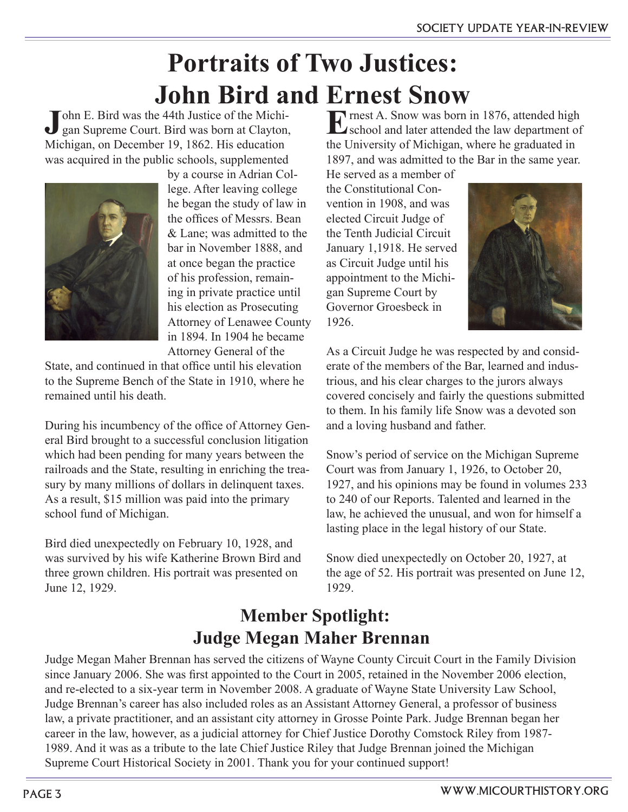## **Portraits of Two Justices: John Bird and Ernest Snow**

**J**ohn E. Bird was the 44th Justice of the Michigan Supreme Court. Bird was born at Clayton, Michigan, on December 19, 1862. His education was acquired in the public schools, supplemented



by a course in Adrian College. After leaving college he began the study of law in the offices of Messrs. Bean & Lane; was admitted to the bar in November 1888, and at once began the practice of his profession, remaining in private practice until his election as Prosecuting Attorney of Lenawee County in 1894. In 1904 he became Attorney General of the

State, and continued in that office until his elevation to the Supreme Bench of the State in 1910, where he remained until his death.

During his incumbency of the office of Attorney General Bird brought to a successful conclusion litigation which had been pending for many years between the railroads and the State, resulting in enriching the treasury by many millions of dollars in delinquent taxes. As a result, \$15 million was paid into the primary school fund of Michigan.

Bird died unexpectedly on February 10, 1928, and was survived by his wife Katherine Brown Bird and three grown children. His portrait was presented on June 12, 1929.

**E**rnest A. Snow was born in 1876, attended high  $\mathbf{\Sigma}$  school and later attended the law department of the University of Michigan, where he graduated in 1897, and was admitted to the Bar in the same year.

He served as a member of the Constitutional Convention in 1908, and was elected Circuit Judge of the Tenth Judicial Circuit January 1,1918. He served as Circuit Judge until his appointment to the Michigan Supreme Court by Governor Groesbeck in 1926.



As a Circuit Judge he was respected by and considerate of the members of the Bar, learned and industrious, and his clear charges to the jurors always covered concisely and fairly the questions submitted to them. In his family life Snow was a devoted son and a loving husband and father.

Snow's period of service on the Michigan Supreme Court was from January 1, 1926, to October 20, 1927, and his opinions may be found in volumes 233 to 240 of our Reports. Talented and learned in the law, he achieved the unusual, and won for himself a lasting place in the legal history of our State.

Snow died unexpectedly on October 20, 1927, at the age of 52. His portrait was presented on June 12, 1929.

### **Member Spotlight: Judge Megan Maher Brennan**

Judge Megan Maher Brennan has served the citizens of Wayne County Circuit Court in the Family Division since January 2006. She was first appointed to the Court in 2005, retained in the November 2006 election, and re-elected to a six-year term in November 2008. A graduate of Wayne State University Law School, Judge Brennan's career has also included roles as an Assistant Attorney General, a professor of business law, a private practitioner, and an assistant city attorney in Grosse Pointe Park. Judge Brennan began her career in the law, however, as a judicial attorney for Chief Justice Dorothy Comstock Riley from 1987- 1989. And it was as a tribute to the late Chief Justice Riley that Judge Brennan joined the Michigan Supreme Court Historical Society in 2001. Thank you for your continued support!